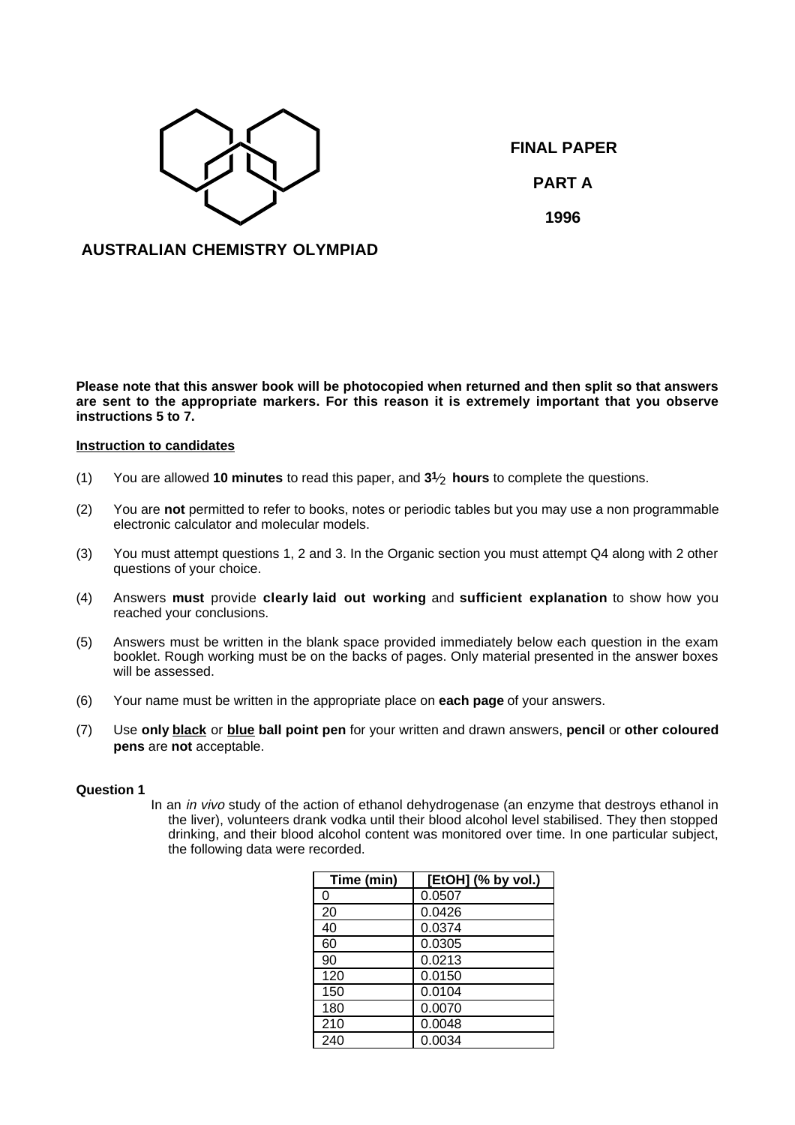

**FINAL PAPER PART A 1996**

# **AUSTRALIAN CHEMISTRY OLYMPIAD**

**Please note that this answer book will be photocopied when returned and then split so that answers are sent to the appropriate markers. For this reason it is extremely important that you observe instructions 5 to 7.**

## **Instruction to candidates**

- (1) You are allowed **10 minutes** to read this paper, and **31**⁄ <sup>2</sup> **hours** to complete the questions.
- (2) You are **not** permitted to refer to books, notes or periodic tables but you may use a non programmable electronic calculator and molecular models.
- (3) You must attempt questions 1, 2 and 3. In the Organic section you must attempt Q4 along with 2 other questions of your choice.
- (4) Answers **must** provide **clearly laid out working** and **sufficient explanation** to show how you reached your conclusions.
- (5) Answers must be written in the blank space provided immediately below each question in the exam booklet. Rough working must be on the backs of pages. Only material presented in the answer boxes will be assessed.
- (6) Your name must be written in the appropriate place on **each page** of your answers.
- (7) Use **only black** or **blue ball point pen** for your written and drawn answers, **pencil** or **other coloured pens** are **not** acceptable.

#### **Question 1**

In an *in vivo* study of the action of ethanol dehydrogenase (an enzyme that destroys ethanol in the liver), volunteers drank vodka until their blood alcohol level stabilised. They then stopped drinking, and their blood alcohol content was monitored over time. In one particular subject, the following data were recorded.

| Time (min) | [EtOH] (% by vol.) |
|------------|--------------------|
| 0          | 0.0507             |
| 20         | 0.0426             |
| 40         | 0.0374             |
| 60         | 0.0305             |
| 90         | 0.0213             |
| 120        | 0.0150             |
| 150        | 0.0104             |
| 180        | 0.0070             |
| 210        | 0.0048             |
| 240        | 0.0034             |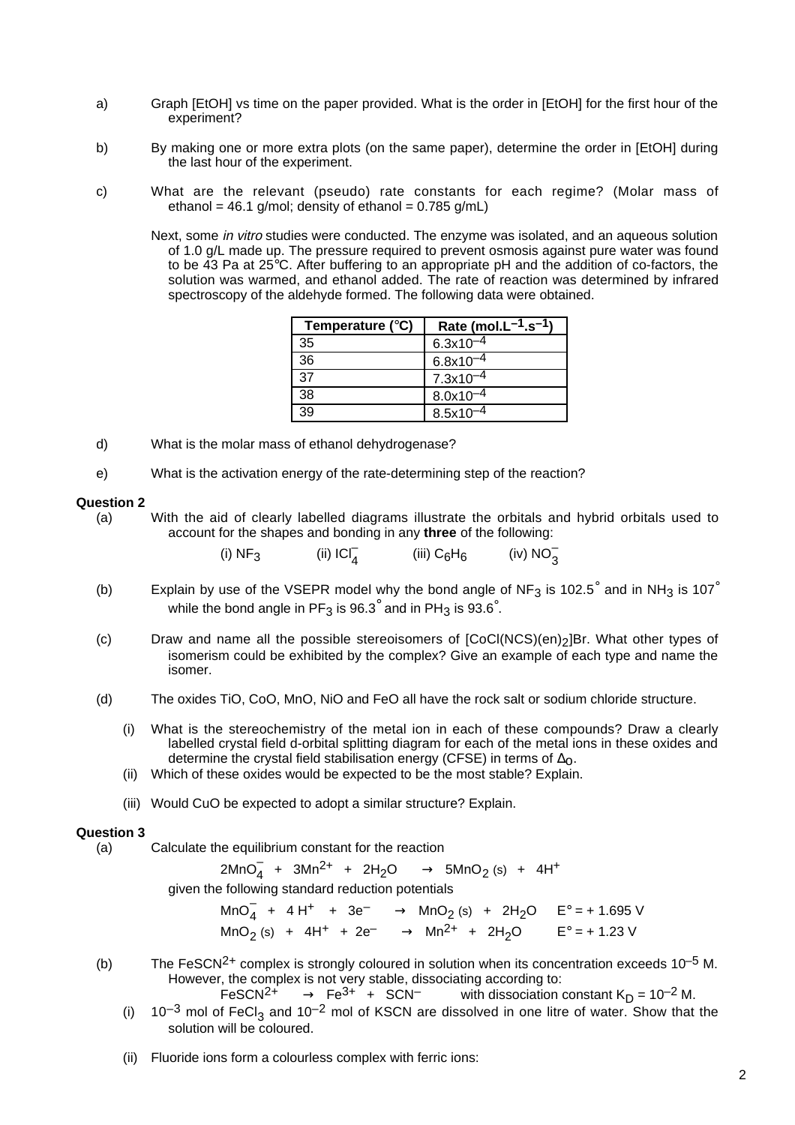- a) Graph [EtOH] vs time on the paper provided. What is the order in [EtOH] for the first hour of the experiment?
- b) By making one or more extra plots (on the same paper), determine the order in [EtOH] during the last hour of the experiment.
- c) What are the relevant (pseudo) rate constants for each regime? (Molar mass of ethanol = 46.1 g/mol; density of ethanol =  $0.785$  g/mL)
	- Next, some *in vitro* studies were conducted. The enzyme was isolated, and an aqueous solution of 1.0 g/L made up. The pressure required to prevent osmosis against pure water was found to be 43 Pa at 25°C. After buffering to an appropriate pH and the addition of co-factors, the solution was warmed, and ethanol added. The rate of reaction was determined by infrared spectroscopy of the aldehyde formed. The following data were obtained.

| Temperature $(^{\circ}C)$ | Rate (mol. $L^{-1}.s^{-1}$ ) |
|---------------------------|------------------------------|
| 35                        | $6.3x10^{-4}$                |
| 36                        | $6.8x10^{-4}$                |
| 37                        | $7.3x10^{-4}$                |
| 38                        | $8.0x10^{-4}$                |
| 39                        | $8.5x10^{-4}$                |

- d) What is the molar mass of ethanol dehydrogenase?
- e) What is the activation energy of the rate-determining step of the reaction?

#### **Question 2**

(a) With the aid of clearly labelled diagrams illustrate the orbitals and hybrid orbitals used to account for the shapes and bonding in any **three** of the following:

| (i) $NF3$ | (ii) $ CI_A^- $ | (iii) $C_6H_6$ | (iv) $NO_3^-$ |
|-----------|-----------------|----------------|---------------|
|           |                 |                |               |

- (b) Explain by use of the VSEPR model why the bond angle of NF<sub>3</sub> is 102.5° and in NH<sub>3</sub> is 107° while the bond angle in PF<sub>3</sub> is 96.3° and in PH<sub>3</sub> is 93.6°.
- (c) Draw and name all the possible stereoisomers of [CoCl(NCS)(en)2]Br. What other types of isomerism could be exhibited by the complex? Give an example of each type and name the isomer.
- (d) The oxides TiO, CoO, MnO, NiO and FeO all have the rock salt or sodium chloride structure.
	- (i) What is the stereochemistry of the metal ion in each of these compounds? Draw a clearly labelled crystal field d-orbital splitting diagram for each of the metal ions in these oxides and determine the crystal field stabilisation energy (CFSE) in terms of  $\Delta_{\text{O}}$ .
	- (ii) Which of these oxides would be expected to be the most stable? Explain.
	- (iii) Would CuO be expected to adopt a similar structure? Explain.

#### **Question 3**

(a) Calculate the equilibrium constant for the reaction

 $2MnO_4^- + 3Mn^{2+} + 2H_2O \longrightarrow 5MnO_2$  (s) + 4H<sup>+</sup>

given the following standard reduction potentials

 $\text{MnO}_4^-$  + 4 H<sup>+</sup> + 3e<sup>-</sup>  $\longrightarrow$  MnO<sub>2</sub> (s) + 2H<sub>2</sub>O E° = + 1.695 V  $\text{MnO}_2 \text{ (s)} + 4\text{H}^+ + 2\text{e}^- \longrightarrow \text{Mn}^{2+} + 2\text{H}_2\text{O} \qquad \text{E}^{\circ} = +1.23 \text{ V}$ 

(b) The FeSCN<sup>2+</sup> complex is strongly coloured in solution when its concentration exceeds  $10^{-5}$  M. However, the complex is not very stable, dissociating according to:

FeSCN<sup>2+</sup>  $\longrightarrow$  Fe<sup>3+</sup> + SCN<sup>-</sup> with dissociation constant K<sub>D</sub> = 10<sup>-2</sup> M.

- (i)  $10^{-3}$  mol of FeCl<sub>3</sub> and 10<sup>-2</sup> mol of KSCN are dissolved in one litre of water. Show that the solution will be coloured.
- (ii) Fluoride ions form a colourless complex with ferric ions: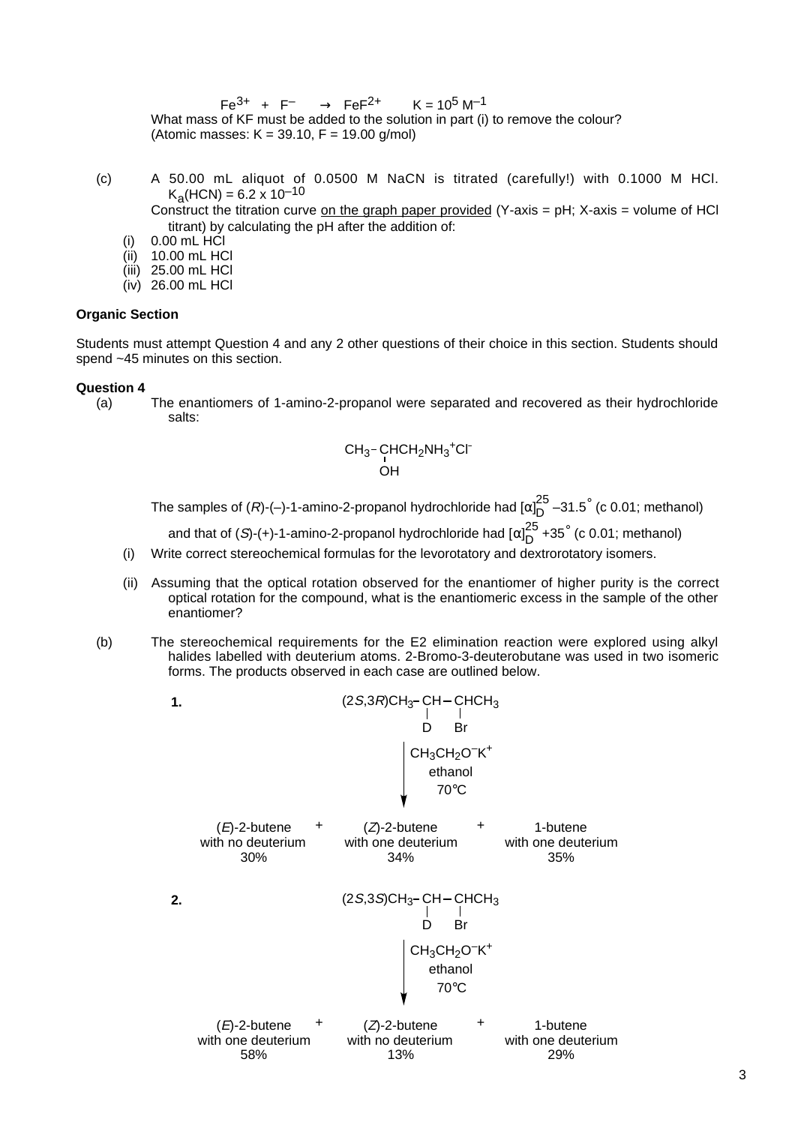$Fe^{3+} + F^{-} \longrightarrow FeF^{2+}$  K = 10<sup>5</sup> M<sup>-1</sup> What mass of KF must be added to the solution in part (i) to remove the colour? (Atomic masses:  $K = 39.10$ ,  $F = 19.00$  g/mol)

(c) A 50.00 mL aliquot of 0.0500 M NaCN is titrated (carefully!) with 0.1000 M HCl.  $K_a(HCN) = 6.2 \times 10^{-10}$ 

Construct the titration curve on the graph paper provided (Y-axis =  $pH$ ; X-axis = volume of HCl titrant) by calculating the pH after the addition of:

- $(i)$  0.00 mL  $HCI$
- (ii) 10.00 mL HCl
- (iii) 25.00 mL HCl
- (iv) 26.00 mL HCl

### **Organic Section**

Students must attempt Question 4 and any 2 other questions of their choice in this section. Students should spend ~45 minutes on this section.

#### **Question 4**

(a) The enantiomers of 1-amino-2-propanol were separated and recovered as their hydrochloride salts:

$$
CH_3-CHCH_2NH_3+CI^-
$$
OH

The samples of (*R*)-(–)-1-amino-2-propanol hydrochloride had [ $\alpha$ ] $_{\text{D}}^{25}$  –31.5 $^{\circ}$  (c 0.01; methanol)

and that of (*S*)-(+)-1-amino-2-propanol hydrochloride had [ $\alpha$ ] $_{\rm D}^{25}$  +35 $^{\circ}$  (c 0.01; methanol)

- (i) Write correct stereochemical formulas for the levorotatory and dextrorotatory isomers.
- (ii) Assuming that the optical rotation observed for the enantiomer of higher purity is the correct optical rotation for the compound, what is the enantiomeric excess in the sample of the other enantiomer?
- (b) The stereochemical requirements for the E2 elimination reaction were explored using alkyl halides labelled with deuterium atoms. 2-Bromo-3-deuterobutane was used in two isomeric forms. The products observed in each case are outlined below.

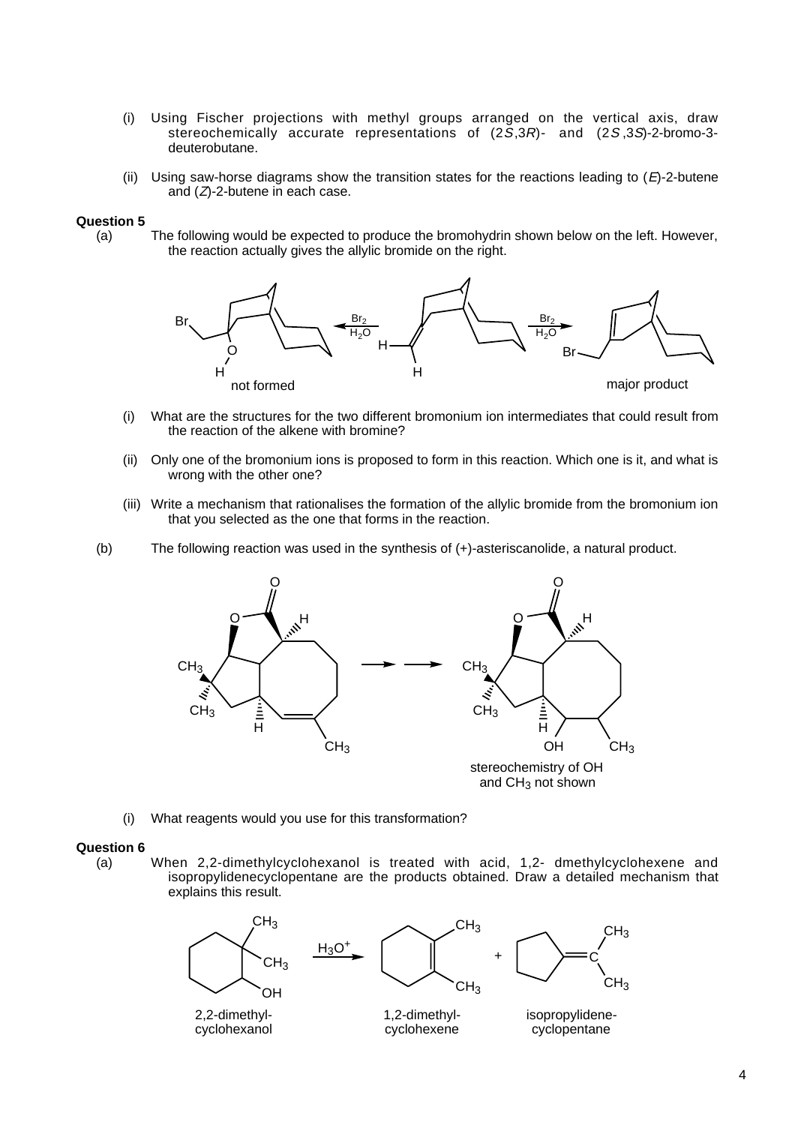- (i) Using Fischer projections with methyl groups arranged on the vertical axis, draw stereochemically accurate representations of (2S,3R)- and (2S ,3S)-2-bromo-3 deuterobutane.
- (ii) Using saw-horse diagrams show the transition states for the reactions leading to  $(E)$ -2-butene and  $(Z)$ -2-butene in each case.

### **Question 5**

(a) The following would be expected to produce the bromohydrin shown below on the left. However, the reaction actually gives the allylic bromide on the right.



- (i) What are the structures for the two different bromonium ion intermediates that could result from the reaction of the alkene with bromine?
- (ii) Only one of the bromonium ions is proposed to form in this reaction. Which one is it, and what is wrong with the other one?
- (iii) Write a mechanism that rationalises the formation of the allylic bromide from the bromonium ion that you selected as the one that forms in the reaction.
- (b) The following reaction was used in the synthesis of (+)-asteriscanolide, a natural product.



(i) What reagents would you use for this transformation?

#### **Question 6**

(a) When 2,2-dimethylcyclohexanol is treated with acid, 1,2- dmethylcyclohexene and isopropylidenecyclopentane are the products obtained. Draw a detailed mechanism that explains this result.

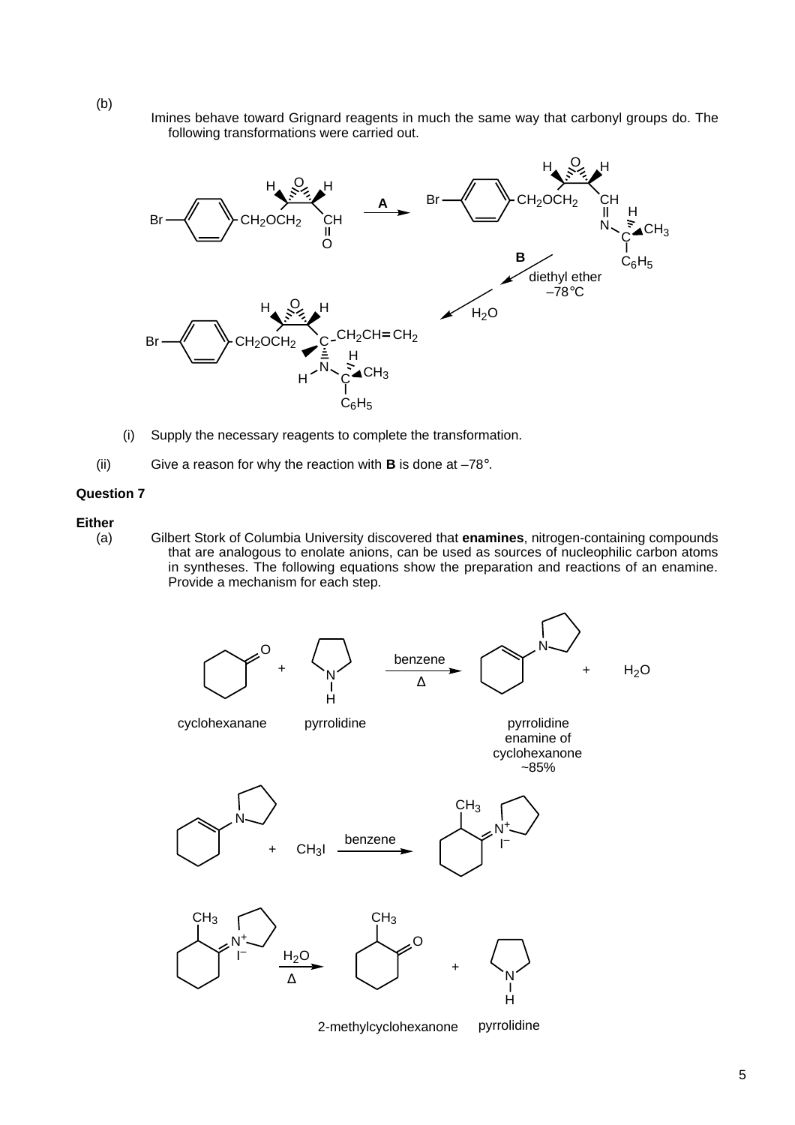Imines behave toward Grignard reagents in much the same way that carbonyl groups do. The following transformations were carried out.



- (i) Supply the necessary reagents to complete the transformation.
- (ii) Give a reason for why the reaction with **B** is done at –78°.

## **Question 7**

#### **Either**

(a) Gilbert Stork of Columbia University discovered that **enamines**, nitrogen-containing compounds that are analogous to enolate anions, can be used as sources of nucleophilic carbon atoms in syntheses. The following equations show the preparation and reactions of an enamine. Provide a mechanism for each step.



(b)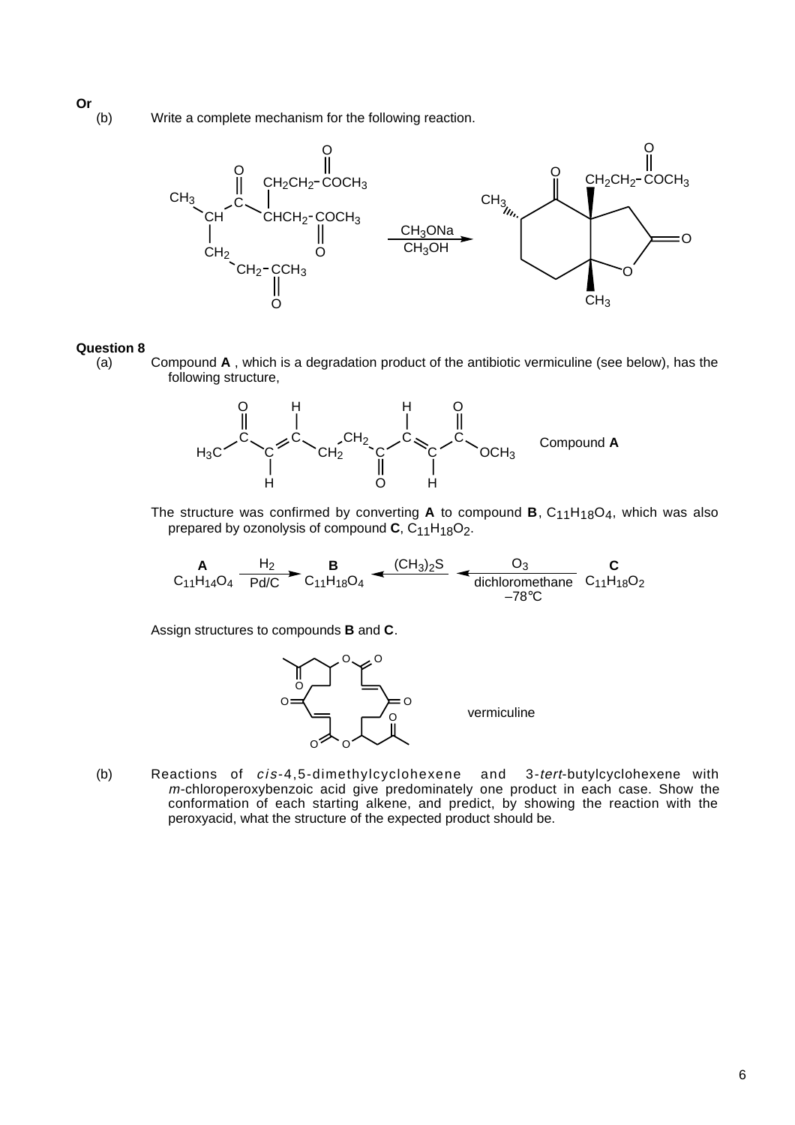(b) Write a complete mechanism for the following reaction.



### **Question 8**

(a) Compound **A** , which is a degradation product of the antibiotic vermiculine (see below), has the following structure,



The structure was confirmed by converting  $A$  to compound  $B$ ,  $C_{11}H_{18}O_4$ , which was also prepared by ozonolysis of compound  $C$ ,  $C_{11}H_{18}O_2$ .

$$
\mathbf{A} \xrightarrow[\text{C}_{11} \text{H}_{14} \text{O}_4]{\text{H}_2} \mathbf{B} \xrightarrow[\text{C}_{11} \text{H}_{18} \text{O}_4]{\text{B}} \mathbf{C}_{11} \text{H}_{18} \text{O}_4 \xrightarrow[\text{C} \text{H}_3 \text{O}_2]{\text{C}} \mathbf{C}_{11} \text{H}_{18} \text{O}_2
$$

Assign structures to compounds **B** and **C**.



(b) Reactions of cis -4,5-dimethylcyclohexene and 3-tert-butylcyclohexene with m-chloroperoxybenzoic acid give predominately one product in each case. Show the conformation of each starting alkene, and predict, by showing the reaction with the peroxyacid, what the structure of the expected product should be.

**Or**